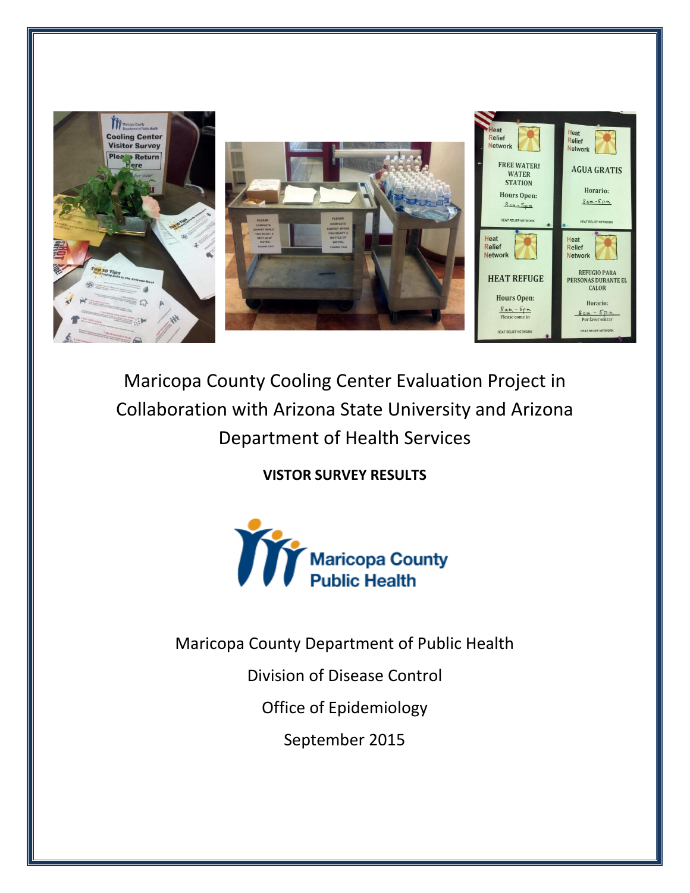

# Maricopa County Cooling Center Evaluation Project in Collaboration with Arizona State University and Arizona Department of Health Services

**VISTOR SURVEY RESULTS** 



Maricopa County Department of Public Health

Division of Disease Control

Office of Epidemiology

September 2015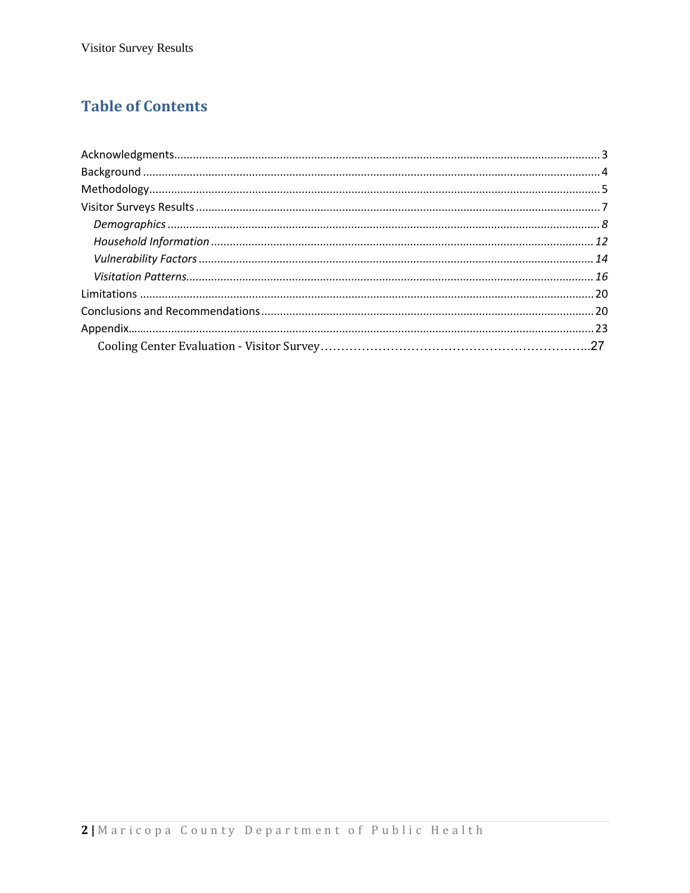### **Table of Contents**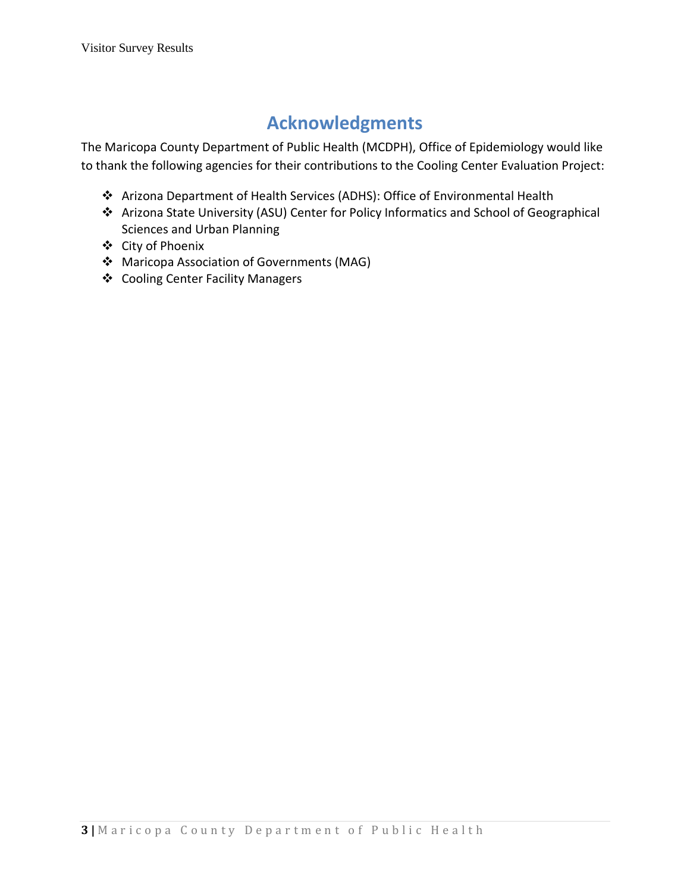## **Acknowledgments**

<span id="page-2-0"></span>The Maricopa County Department of Public Health (MCDPH), Office of Epidemiology would like to thank the following agencies for their contributions to the Cooling Center Evaluation Project:

- Arizona Department of Health Services (ADHS): Office of Environmental Health
- Arizona State University (ASU) Center for Policy Informatics and School of Geographical Sciences and Urban Planning
- City of Phoenix
- Maricopa Association of Governments (MAG)
- Cooling Center Facility Managers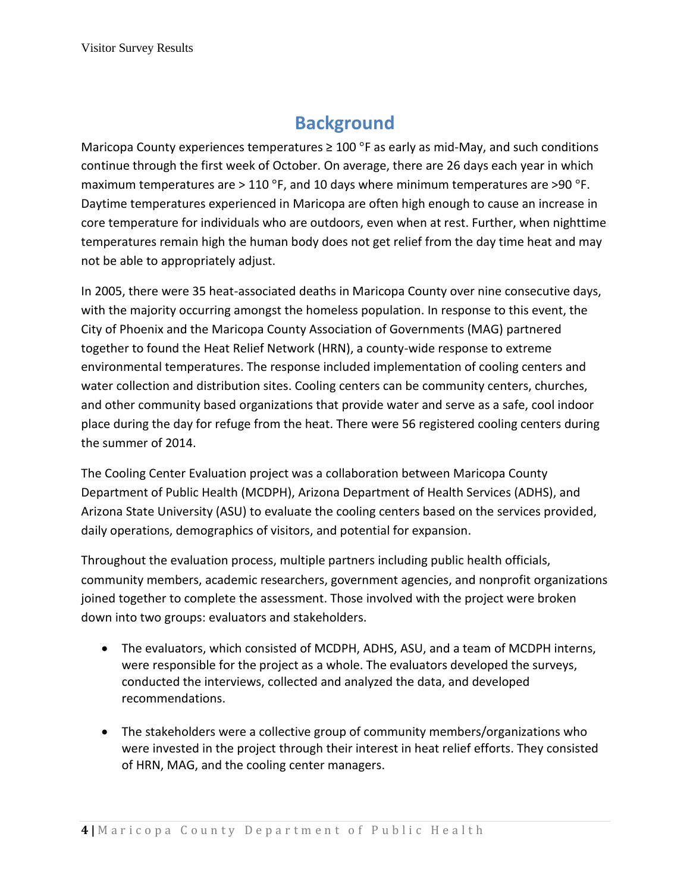## **Background**

<span id="page-3-0"></span>Maricopa County experiences temperatures  $\geq 100$  °F as early as mid-May, and such conditions continue through the first week of October. On average, there are 26 days each year in which maximum temperatures are > 110 °F, and 10 days where minimum temperatures are >90 °F. Daytime temperatures experienced in Maricopa are often high enough to cause an increase in core temperature for individuals who are outdoors, even when at rest. Further, when nighttime temperatures remain high the human body does not get relief from the day time heat and may not be able to appropriately adjust.

In 2005, there were 35 heat-associated deaths in Maricopa County over nine consecutive days, with the majority occurring amongst the homeless population. In response to this event, the City of Phoenix and the Maricopa County Association of Governments (MAG) partnered together to found the Heat Relief Network (HRN), a county-wide response to extreme environmental temperatures. The response included implementation of cooling centers and water collection and distribution sites. Cooling centers can be community centers, churches, and other community based organizations that provide water and serve as a safe, cool indoor place during the day for refuge from the heat. There were 56 registered cooling centers during the summer of 2014.

The Cooling Center Evaluation project was a collaboration between Maricopa County Department of Public Health (MCDPH), Arizona Department of Health Services (ADHS), and Arizona State University (ASU) to evaluate the cooling centers based on the services provided, daily operations, demographics of visitors, and potential for expansion.

Throughout the evaluation process, multiple partners including public health officials, community members, academic researchers, government agencies, and nonprofit organizations joined together to complete the assessment. Those involved with the project were broken down into two groups: evaluators and stakeholders.

- The evaluators, which consisted of MCDPH, ADHS, ASU, and a team of MCDPH interns, were responsible for the project as a whole. The evaluators developed the surveys, conducted the interviews, collected and analyzed the data, and developed recommendations.
- The stakeholders were a collective group of community members/organizations who were invested in the project through their interest in heat relief efforts. They consisted of HRN, MAG, and the cooling center managers.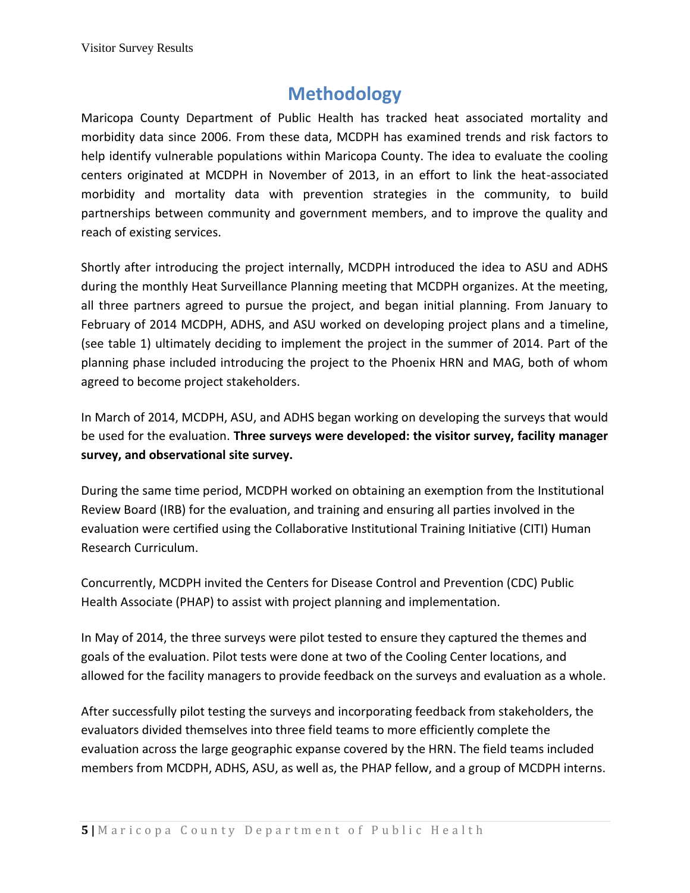## **Methodology**

<span id="page-4-0"></span>Maricopa County Department of Public Health has tracked heat associated mortality and morbidity data since 2006. From these data, MCDPH has examined trends and risk factors to help identify vulnerable populations within Maricopa County. The idea to evaluate the cooling centers originated at MCDPH in November of 2013, in an effort to link the heat-associated morbidity and mortality data with prevention strategies in the community, to build partnerships between community and government members, and to improve the quality and reach of existing services.

Shortly after introducing the project internally, MCDPH introduced the idea to ASU and ADHS during the monthly Heat Surveillance Planning meeting that MCDPH organizes. At the meeting, all three partners agreed to pursue the project, and began initial planning. From January to February of 2014 MCDPH, ADHS, and ASU worked on developing project plans and a timeline, (see table 1) ultimately deciding to implement the project in the summer of 2014. Part of the planning phase included introducing the project to the Phoenix HRN and MAG, both of whom agreed to become project stakeholders.

In March of 2014, MCDPH, ASU, and ADHS began working on developing the surveys that would be used for the evaluation. **Three surveys were developed: the visitor survey, facility manager survey, and observational site survey.**

During the same time period, MCDPH worked on obtaining an exemption from the Institutional Review Board (IRB) for the evaluation, and training and ensuring all parties involved in the evaluation were certified using the Collaborative Institutional Training Initiative (CITI) Human Research Curriculum.

Concurrently, MCDPH invited the Centers for Disease Control and Prevention (CDC) Public Health Associate (PHAP) to assist with project planning and implementation.

In May of 2014, the three surveys were pilot tested to ensure they captured the themes and goals of the evaluation. Pilot tests were done at two of the Cooling Center locations, and allowed for the facility managers to provide feedback on the surveys and evaluation as a whole.

After successfully pilot testing the surveys and incorporating feedback from stakeholders, the evaluators divided themselves into three field teams to more efficiently complete the evaluation across the large geographic expanse covered by the HRN. The field teams included members from MCDPH, ADHS, ASU, as well as, the PHAP fellow, and a group of MCDPH interns.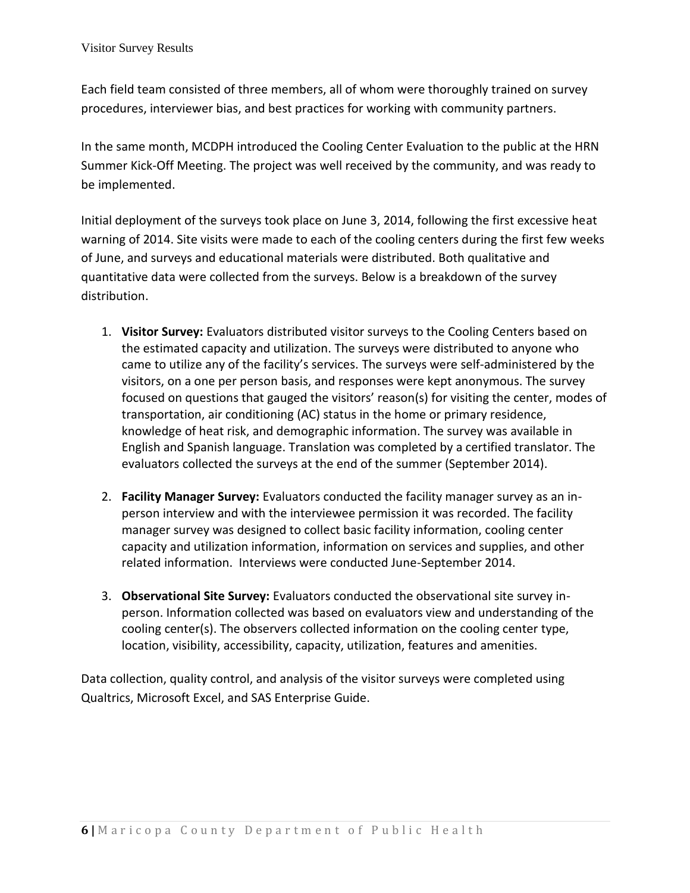Each field team consisted of three members, all of whom were thoroughly trained on survey procedures, interviewer bias, and best practices for working with community partners.

In the same month, MCDPH introduced the Cooling Center Evaluation to the public at the HRN Summer Kick-Off Meeting. The project was well received by the community, and was ready to be implemented.

Initial deployment of the surveys took place on June 3, 2014, following the first excessive heat warning of 2014. Site visits were made to each of the cooling centers during the first few weeks of June, and surveys and educational materials were distributed. Both qualitative and quantitative data were collected from the surveys. Below is a breakdown of the survey distribution.

- 1. **Visitor Survey:** Evaluators distributed visitor surveys to the Cooling Centers based on the estimated capacity and utilization. The surveys were distributed to anyone who came to utilize any of the facility's services. The surveys were self-administered by the visitors, on a one per person basis, and responses were kept anonymous. The survey focused on questions that gauged the visitors' reason(s) for visiting the center, modes of transportation, air conditioning (AC) status in the home or primary residence, knowledge of heat risk, and demographic information. The survey was available in English and Spanish language. Translation was completed by a certified translator. The evaluators collected the surveys at the end of the summer (September 2014).
- 2. **Facility Manager Survey:** Evaluators conducted the facility manager survey as an inperson interview and with the interviewee permission it was recorded. The facility manager survey was designed to collect basic facility information, cooling center capacity and utilization information, information on services and supplies, and other related information. Interviews were conducted June-September 2014.
- 3. **Observational Site Survey:** Evaluators conducted the observational site survey inperson. Information collected was based on evaluators view and understanding of the cooling center(s). The observers collected information on the cooling center type, location, visibility, accessibility, capacity, utilization, features and amenities.

Data collection, quality control, and analysis of the visitor surveys were completed using Qualtrics, Microsoft Excel, and SAS Enterprise Guide.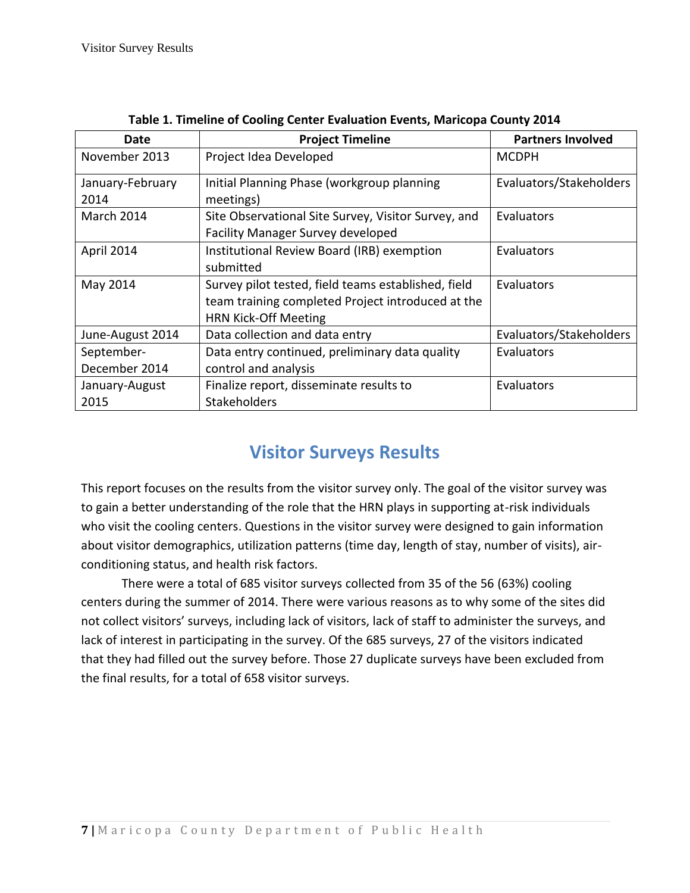| Date                     | <b>Project Timeline</b>                                                                                                                 | <b>Partners Involved</b> |
|--------------------------|-----------------------------------------------------------------------------------------------------------------------------------------|--------------------------|
| November 2013            | Project Idea Developed                                                                                                                  | <b>MCDPH</b>             |
| January-February<br>2014 | Initial Planning Phase (workgroup planning<br>meetings)                                                                                 | Evaluators/Stakeholders  |
| March 2014               | Site Observational Site Survey, Visitor Survey, and<br><b>Facility Manager Survey developed</b>                                         | Evaluators               |
| April 2014               | Institutional Review Board (IRB) exemption<br>submitted                                                                                 | Evaluators               |
| May 2014                 | Survey pilot tested, field teams established, field<br>team training completed Project introduced at the<br><b>HRN Kick-Off Meeting</b> | Evaluators               |
| June-August 2014         | Data collection and data entry                                                                                                          | Evaluators/Stakeholders  |
| September-               | Data entry continued, preliminary data quality                                                                                          | Evaluators               |
| December 2014            | control and analysis                                                                                                                    |                          |
| January-August<br>2015   | Finalize report, disseminate results to<br><b>Stakeholders</b>                                                                          | Evaluators               |

**Table 1. Timeline of Cooling Center Evaluation Events, Maricopa County 2014**

## **Visitor Surveys Results**

<span id="page-6-0"></span>This report focuses on the results from the visitor survey only. The goal of the visitor survey was to gain a better understanding of the role that the HRN plays in supporting at-risk individuals who visit the cooling centers. Questions in the visitor survey were designed to gain information about visitor demographics, utilization patterns (time day, length of stay, number of visits), airconditioning status, and health risk factors.

<span id="page-6-1"></span>There were a total of 685 visitor surveys collected from 35 of the 56 (63%) cooling centers during the summer of 2014. There were various reasons as to why some of the sites did not collect visitors' surveys, including lack of visitors, lack of staff to administer the surveys, and lack of interest in participating in the survey. Of the 685 surveys, 27 of the visitors indicated that they had filled out the survey before. Those 27 duplicate surveys have been excluded from the final results, for a total of 658 visitor surveys.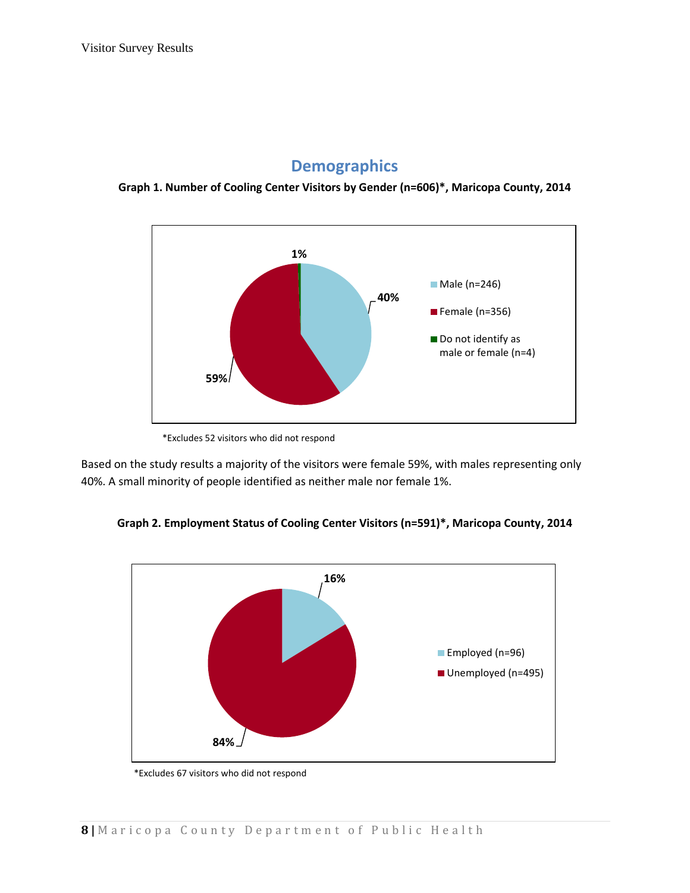### **Demographics**

**Graph 1. Number of Cooling Center Visitors by Gender (n=606)\*, Maricopa County, 2014**



<sup>\*</sup>Excludes 52 visitors who did not respond

Based on the study results a majority of the visitors were female 59%, with males representing only 40%. A small minority of people identified as neither male nor female 1%.





\*Excludes 67 visitors who did not respond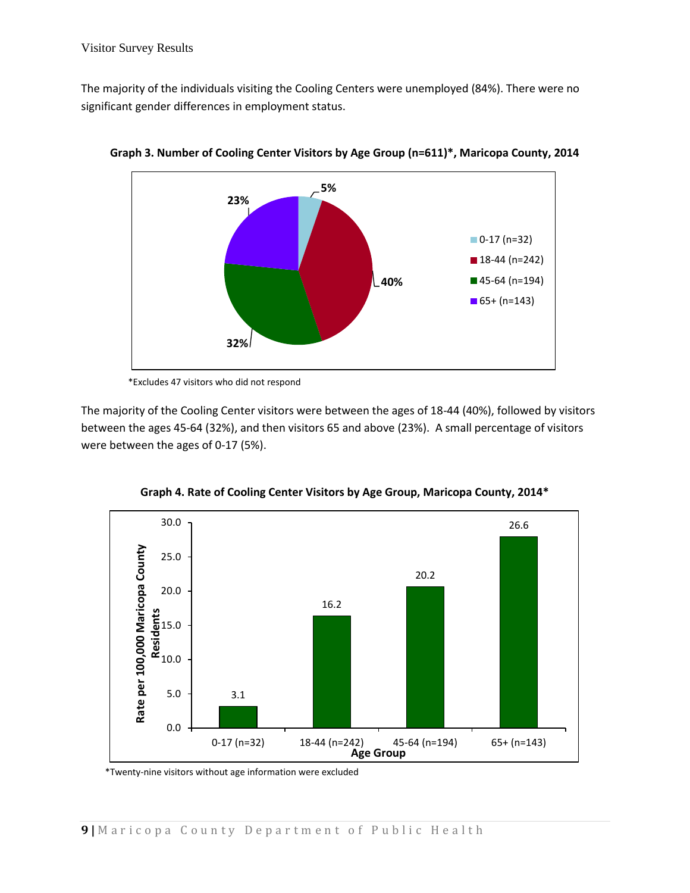The majority of the individuals visiting the Cooling Centers were unemployed (84%). There were no significant gender differences in employment status.



**Graph 3. Number of Cooling Center Visitors by Age Group (n=611)\*, Maricopa County, 2014**

The majority of the Cooling Center visitors were between the ages of 18-44 (40%), followed by visitors between the ages 45-64 (32%), and then visitors 65 and above (23%). A small percentage of visitors were between the ages of 0-17 (5%).



**Graph 4. Rate of Cooling Center Visitors by Age Group, Maricopa County, 2014\***

\*Twenty-nine visitors without age information were excluded

<sup>\*</sup>Excludes 47 visitors who did not respond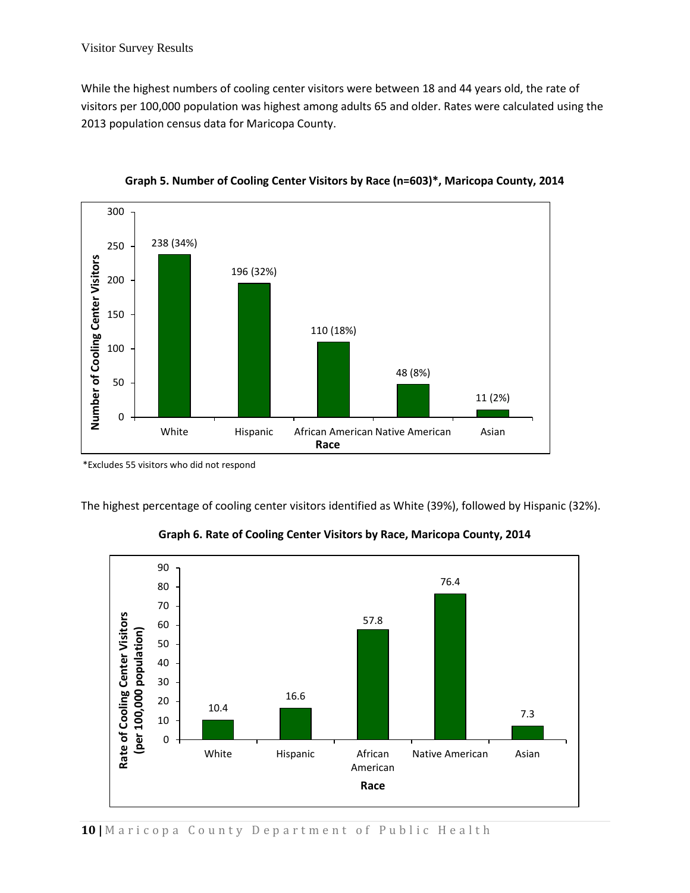While the highest numbers of cooling center visitors were between 18 and 44 years old, the rate of visitors per 100,000 population was highest among adults 65 and older. Rates were calculated using the 2013 population census data for Maricopa County.





\*Excludes 55 visitors who did not respond

The highest percentage of cooling center visitors identified as White (39%), followed by Hispanic (32%).



**Graph 6. Rate of Cooling Center Visitors by Race, Maricopa County, 2014**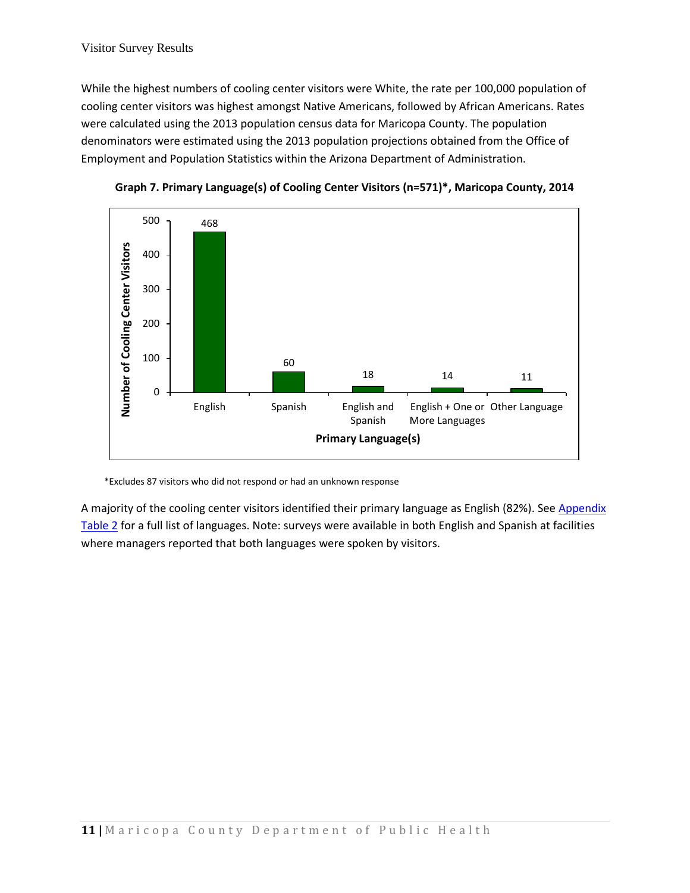While the highest numbers of cooling center visitors were White, the rate per 100,000 population of cooling center visitors was highest amongst Native Americans, followed by African Americans. Rates were calculated using the 2013 population census data for Maricopa County. The population denominators were estimated using the 2013 population projections obtained from the Office of Employment and Population Statistics within the Arizona Department of Administration.





\*Excludes 87 visitors who did not respond or had an unknown response

<span id="page-10-0"></span>A majority of the cooling center visitors identified their primary language as English (82%). See Appendix [Table 2](#page-22-0) for a full list of languages. Note: surveys were available in both English and Spanish at facilities where managers reported that both languages were spoken by visitors.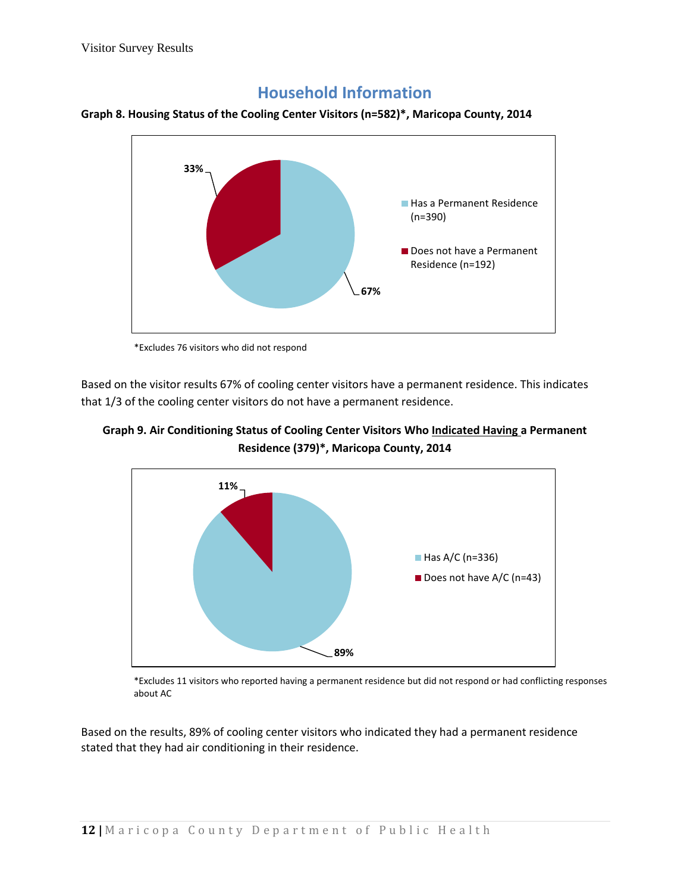### **Household Information**





\*Excludes 76 visitors who did not respond

Based on the visitor results 67% of cooling center visitors have a permanent residence. This indicates that 1/3 of the cooling center visitors do not have a permanent residence.





\*Excludes 11 visitors who reported having a permanent residence but did not respond or had conflicting responses about AC

Based on the results, 89% of cooling center visitors who indicated they had a permanent residence stated that they had air conditioning in their residence.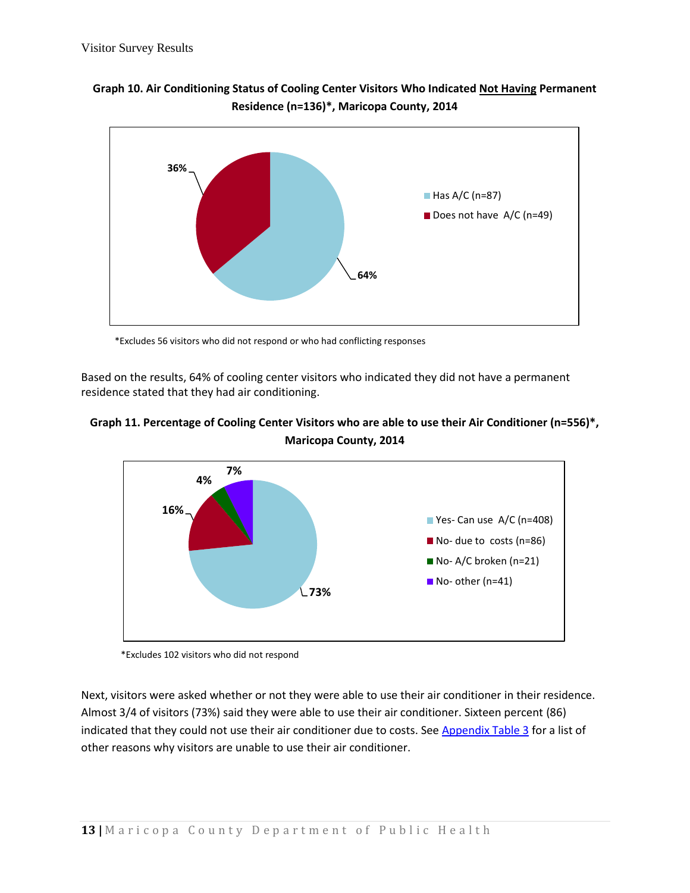



\*Excludes 56 visitors who did not respond or who had conflicting responses

Based on the results, 64% of cooling center visitors who indicated they did not have a permanent residence stated that they had air conditioning.





\*Excludes 102 visitors who did not respond

Next, visitors were asked whether or not they were able to use their air conditioner in their residence. Almost 3/4 of visitors (73%) said they were able to use their air conditioner. Sixteen percent (86) indicated that they could not use their air conditioner due to costs. See [Appendix Table 3](#page-22-1) for a list of other reasons why visitors are unable to use their air conditioner.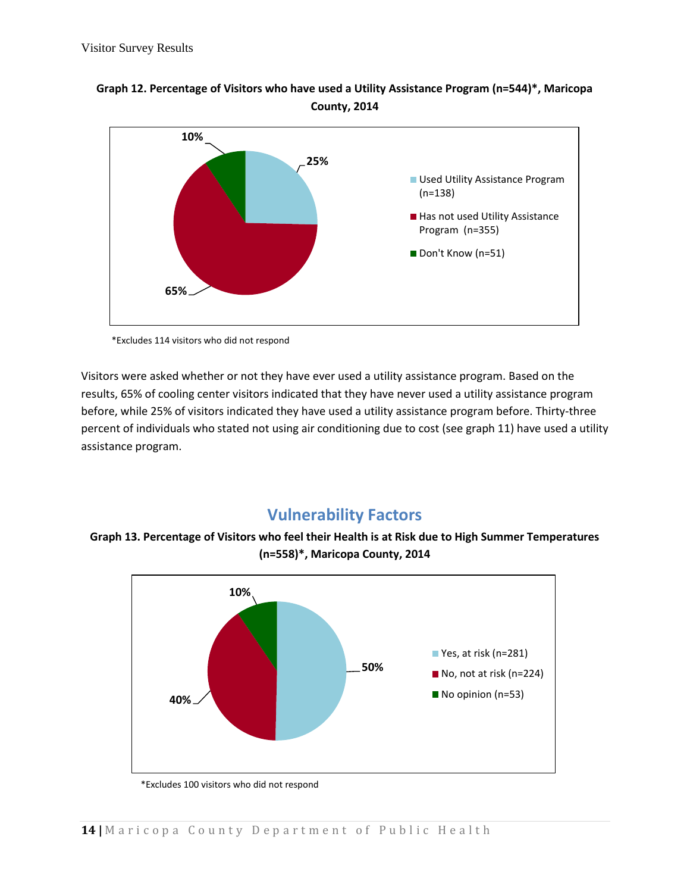



\*Excludes 114 visitors who did not respond

Visitors were asked whether or not they have ever used a utility assistance program. Based on the results, 65% of cooling center visitors indicated that they have never used a utility assistance program before, while 25% of visitors indicated they have used a utility assistance program before. Thirty-three percent of individuals who stated not using air conditioning due to cost (see graph 11) have used a utility assistance program.

### <span id="page-13-0"></span>**Vulnerability Factors**

**Graph 13. Percentage of Visitors who feel their Health is at Risk due to High Summer Temperatures (n=558)\*, Maricopa County, 2014**



<sup>\*</sup>Excludes 100 visitors who did not respond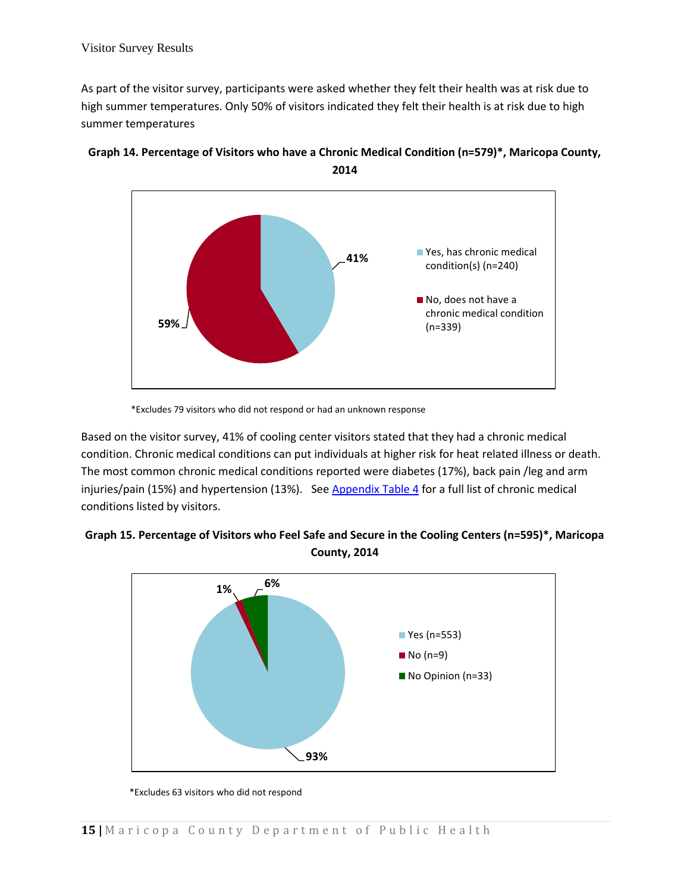As part of the visitor survey, participants were asked whether they felt their health was at risk due to high summer temperatures. Only 50% of visitors indicated they felt their health is at risk due to high summer temperatures





\*Excludes 79 visitors who did not respond or had an unknown response

Based on the visitor survey, 41% of cooling center visitors stated that they had a chronic medical condition. Chronic medical conditions can put individuals at higher risk for heat related illness or death. The most common chronic medical conditions reported were diabetes (17%), back pain /leg and arm injuries/pain (15%) and hypertension (13%). Se[e Appendix Table 4](#page-22-2) for a full list of chronic medical conditions listed by visitors.





 <sup>\*</sup>Excludes 63 visitors who did not respond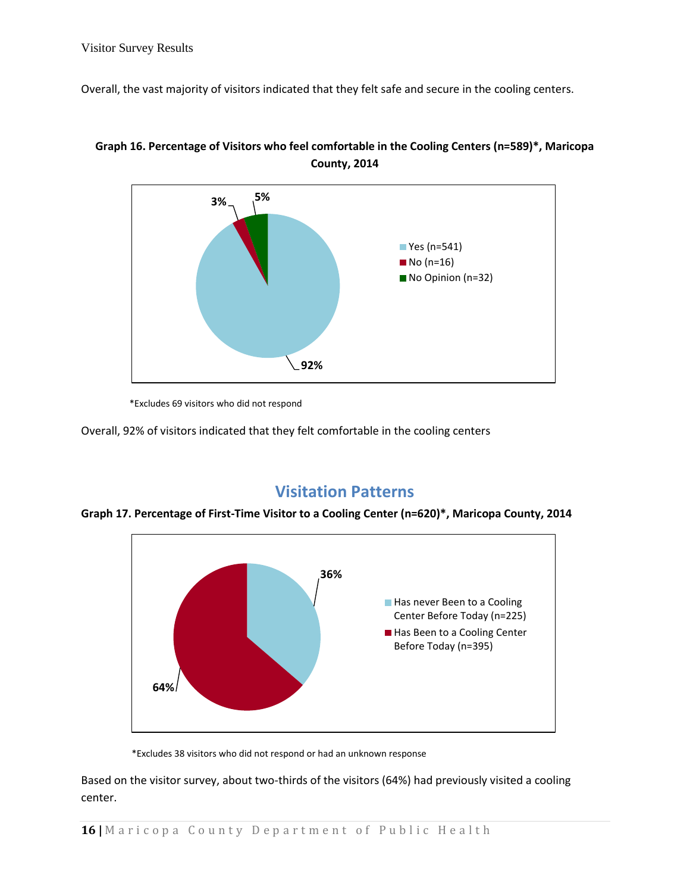Overall, the vast majority of visitors indicated that they felt safe and secure in the cooling centers.





\*Excludes 69 visitors who did not respond

Overall, 92% of visitors indicated that they felt comfortable in the cooling centers

### **Visitation Patterns**

<span id="page-15-0"></span>



\*Excludes 38 visitors who did not respond or had an unknown response

Based on the visitor survey, about two-thirds of the visitors (64%) had previously visited a cooling center.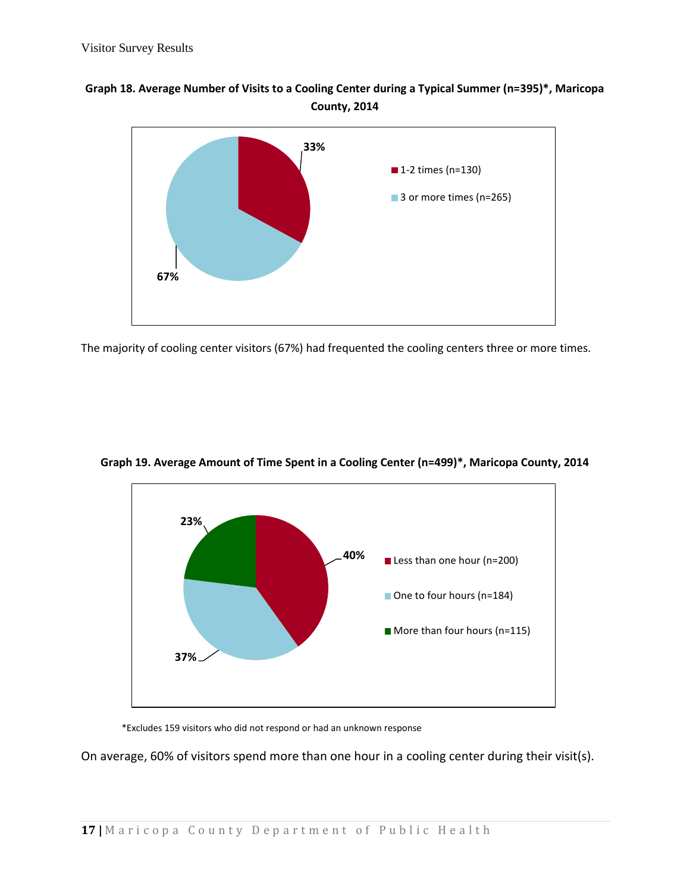#### **Graph 18. Average Number of Visits to a Cooling Center during a Typical Summer (n=395)\*, Maricopa County, 2014**



The majority of cooling center visitors (67%) had frequented the cooling centers three or more times.



**Graph 19. Average Amount of Time Spent in a Cooling Center (n=499)\*, Maricopa County, 2014**

\*Excludes 159 visitors who did not respond or had an unknown response

On average, 60% of visitors spend more than one hour in a cooling center during their visit(s).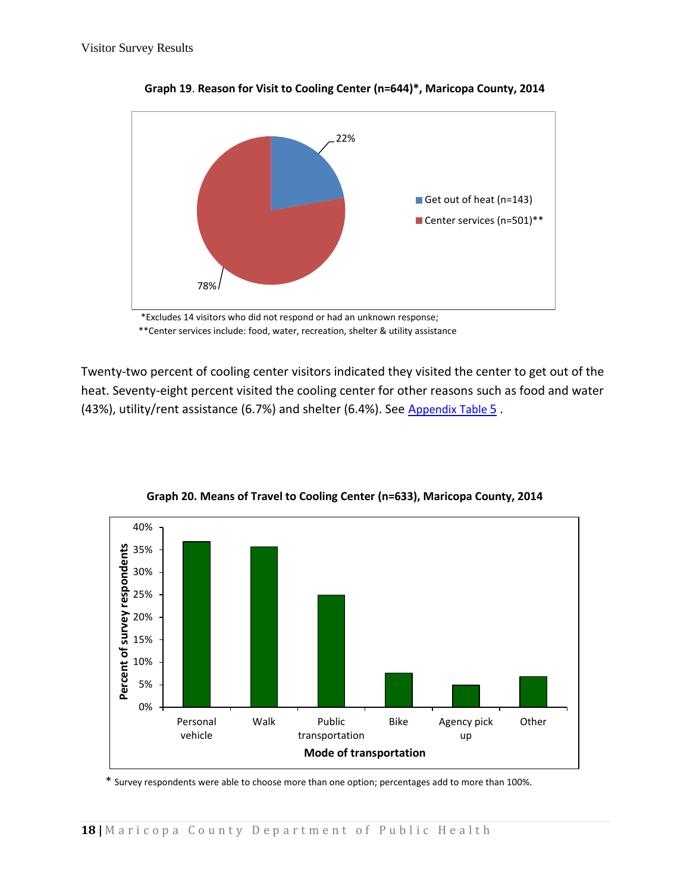

**Graph 19**. **Reason for Visit to Cooling Center (n=644)\*, Maricopa County, 2014**

 \*Excludes 14 visitors who did not respond or had an unknown response; \*\*Center services include: food, water, recreation, shelter & utility assistance

Twenty-two percent of cooling center visitors indicated they visited the center to get out of the heat. Seventy-eight percent visited the cooling center for other reasons such as food and water (43%), utility/rent assistance (6.7%) and shelter (6.4%). See A[ppendix](#page-23-0) Table 5 .



**Graph 20. Means of Travel to Cooling Center (n=633), Maricopa County, 2014**

\* Survey respondents were able to choose more than one option; percentages add to more than 100%.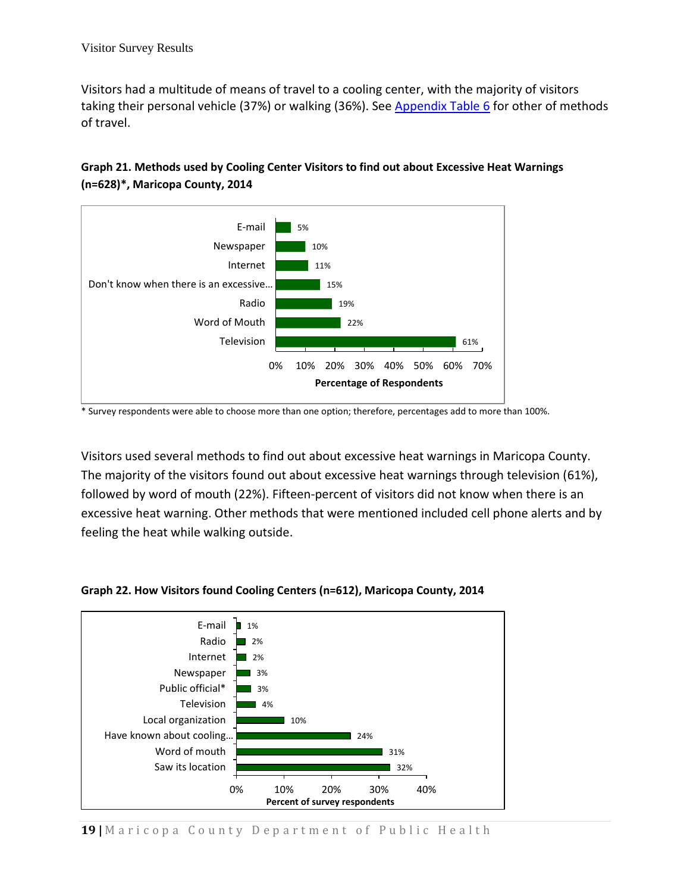Visitors had a multitude of means of travel to a cooling center, with the majority of visitors taking their personal vehicle (37%) or walking (36%). See [Appendix Table 6](#page-23-1) for other of methods of travel.



#### **Graph 21. Methods used by Cooling Center Visitors to find out about Excessive Heat Warnings (n=628)\*, Maricopa County, 2014**

Visitors used several methods to find out about excessive heat warnings in Maricopa County. The majority of the visitors found out about excessive heat warnings through television (61%), followed by word of mouth (22%). Fifteen-percent of visitors did not know when there is an excessive heat warning. Other methods that were mentioned included cell phone alerts and by feeling the heat while walking outside.



#### **Graph 22. How Visitors found Cooling Centers (n=612), Maricopa County, 2014**

<sup>\*</sup> Survey respondents were able to choose more than one option; therefore, percentages add to more than 100%.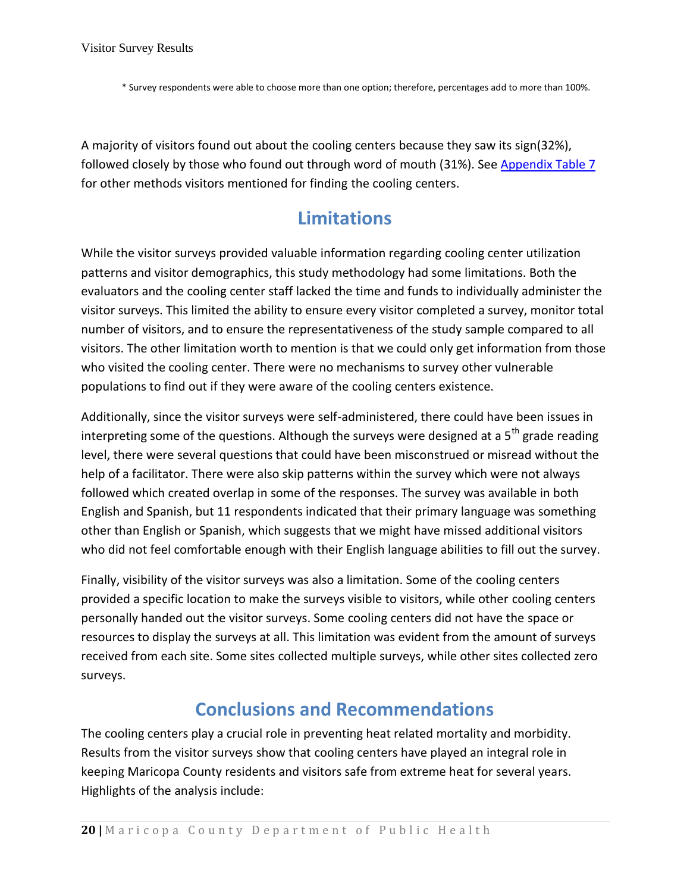\* Survey respondents were able to choose more than one option; therefore, percentages add to more than 100%.

A majority of visitors found out about the cooling centers because they saw its sign(32%), followed closely by those who found out through word of mouth (31%). See Appendix Table 7 for other methods visitors mentioned for finding the cooling centers.

### **Limitations**

<span id="page-19-0"></span>While the visitor surveys provided valuable information regarding cooling center utilization patterns and visitor demographics, this study methodology had some limitations. Both the evaluators and the cooling center staff lacked the time and funds to individually administer the visitor surveys. This limited the ability to ensure every visitor completed a survey, monitor total number of visitors, and to ensure the representativeness of the study sample compared to all visitors. The other limitation worth to mention is that we could only get information from those who visited the cooling center. There were no mechanisms to survey other vulnerable populations to find out if they were aware of the cooling centers existence.

Additionally, since the visitor surveys were self-administered, there could have been issues in interpreting some of the questions. Although the surveys were designed at a  $5<sup>th</sup>$  grade reading level, there were several questions that could have been misconstrued or misread without the help of a facilitator. There were also skip patterns within the survey which were not always followed which created overlap in some of the responses. The survey was available in both English and Spanish, but 11 respondents indicated that their primary language was something other than English or Spanish, which suggests that we might have missed additional visitors who did not feel comfortable enough with their English language abilities to fill out the survey.

Finally, visibility of the visitor surveys was also a limitation. Some of the cooling centers provided a specific location to make the surveys visible to visitors, while other cooling centers personally handed out the visitor surveys. Some cooling centers did not have the space or resources to display the surveys at all. This limitation was evident from the amount of surveys received from each site. Some sites collected multiple surveys, while other sites collected zero surveys.

### **Conclusions and Recommendations**

<span id="page-19-1"></span>The cooling centers play a crucial role in preventing heat related mortality and morbidity. Results from the visitor surveys show that cooling centers have played an integral role in keeping Maricopa County residents and visitors safe from extreme heat for several years. Highlights of the analysis include: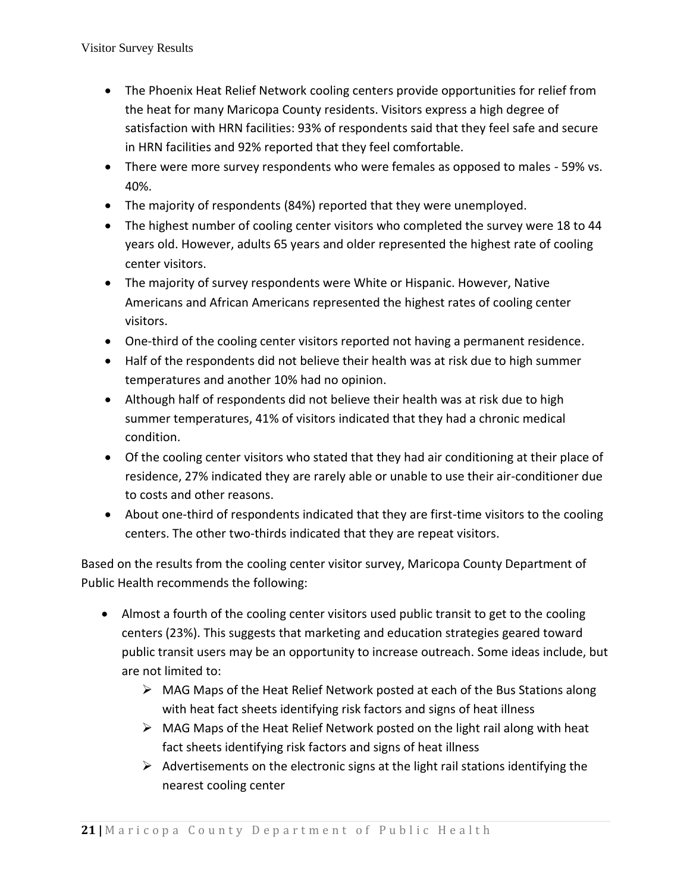- The Phoenix Heat Relief Network cooling centers provide opportunities for relief from the heat for many Maricopa County residents. Visitors express a high degree of satisfaction with HRN facilities: 93% of respondents said that they feel safe and secure in HRN facilities and 92% reported that they feel comfortable.
- There were more survey respondents who were females as opposed to males 59% vs. 40%.
- The majority of respondents (84%) reported that they were unemployed.
- The highest number of cooling center visitors who completed the survey were 18 to 44 years old. However, adults 65 years and older represented the highest rate of cooling center visitors.
- The majority of survey respondents were White or Hispanic. However, Native Americans and African Americans represented the highest rates of cooling center visitors.
- One-third of the cooling center visitors reported not having a permanent residence.
- Half of the respondents did not believe their health was at risk due to high summer temperatures and another 10% had no opinion.
- Although half of respondents did not believe their health was at risk due to high summer temperatures, 41% of visitors indicated that they had a chronic medical condition.
- Of the cooling center visitors who stated that they had air conditioning at their place of residence, 27% indicated they are rarely able or unable to use their air-conditioner due to costs and other reasons.
- About one-third of respondents indicated that they are first-time visitors to the cooling centers. The other two-thirds indicated that they are repeat visitors.

Based on the results from the cooling center visitor survey, Maricopa County Department of Public Health recommends the following:

- Almost a fourth of the cooling center visitors used public transit to get to the cooling centers (23%). This suggests that marketing and education strategies geared toward public transit users may be an opportunity to increase outreach. Some ideas include, but are not limited to:
	- $\triangleright$  MAG Maps of the Heat Relief Network posted at each of the Bus Stations along with heat fact sheets identifying risk factors and signs of heat illness
	- $\triangleright$  MAG Maps of the Heat Relief Network posted on the light rail along with heat fact sheets identifying risk factors and signs of heat illness
	- $\triangleright$  Advertisements on the electronic signs at the light rail stations identifying the nearest cooling center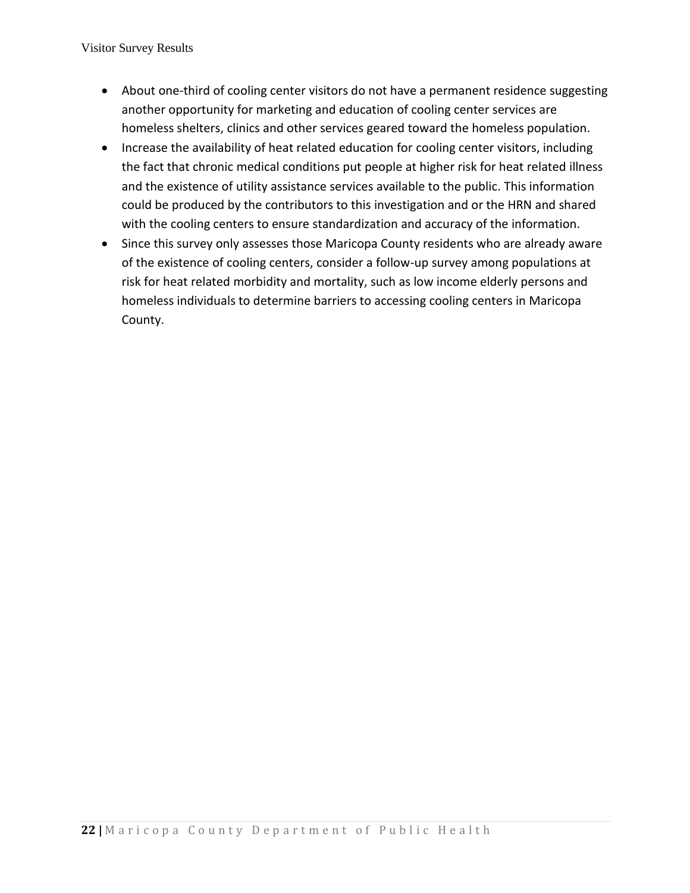Visitor Survey Results

- About one-third of cooling center visitors do not have a permanent residence suggesting another opportunity for marketing and education of cooling center services are homeless shelters, clinics and other services geared toward the homeless population.
- Increase the availability of heat related education for cooling center visitors, including the fact that chronic medical conditions put people at higher risk for heat related illness and the existence of utility assistance services available to the public. This information could be produced by the contributors to this investigation and or the HRN and shared with the cooling centers to ensure standardization and accuracy of the information.
- <span id="page-21-0"></span>• Since this survey only assesses those Maricopa County residents who are already aware of the existence of cooling centers, consider a follow-up survey among populations at risk for heat related morbidity and mortality, such as low income elderly persons and homeless individuals to determine barriers to accessing cooling centers in Maricopa County.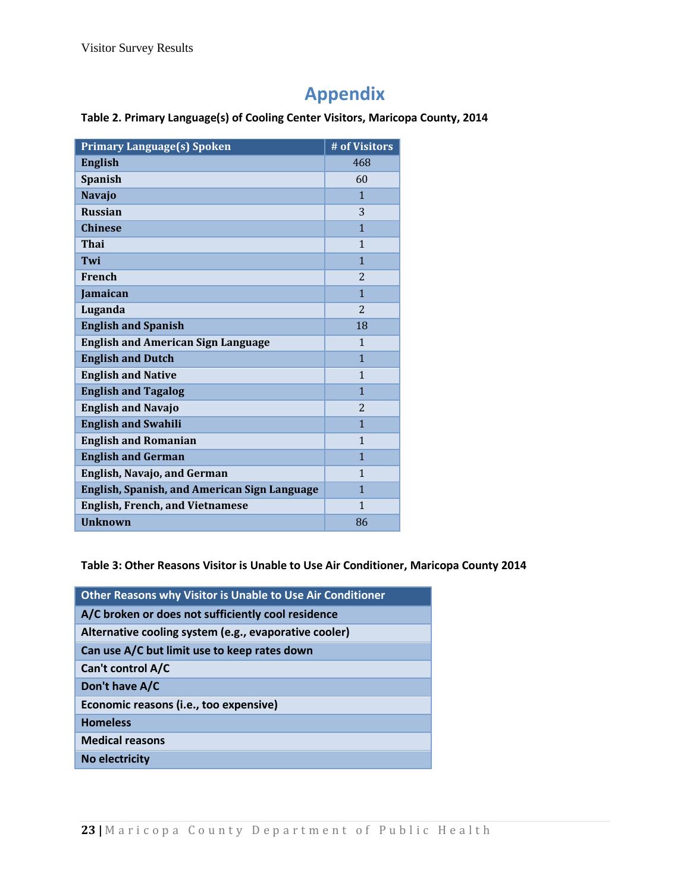## **Appendix**

#### <span id="page-22-0"></span>**Table 2. Primary Language(s) of Cooling Center Visitors, Maricopa County, 2014**

| <b>Primary Language(s) Spoken</b>                   | # of Visitors  |
|-----------------------------------------------------|----------------|
| <b>English</b>                                      | 468            |
| <b>Spanish</b>                                      | 60             |
| <b>Navajo</b>                                       | $\mathbf{1}$   |
| <b>Russian</b>                                      | 3              |
| <b>Chinese</b>                                      | $\mathbf{1}$   |
| Thai                                                | $\mathbf{1}$   |
| Twi                                                 | $\mathbf{1}$   |
| French                                              | $\overline{2}$ |
| Jamaican                                            | $\mathbf{1}$   |
| Luganda                                             | $\overline{2}$ |
| <b>English and Spanish</b>                          | 18             |
| <b>English and American Sign Language</b>           | 1              |
| <b>English and Dutch</b>                            | $\overline{1}$ |
| <b>English and Native</b>                           | 1              |
| <b>English and Tagalog</b>                          | $\mathbf{1}$   |
| <b>English and Navajo</b>                           | $\overline{c}$ |
| <b>English and Swahili</b>                          | $\mathbf{1}$   |
| <b>English and Romanian</b>                         | $\mathbf{1}$   |
| <b>English and German</b>                           | $\mathbf{1}$   |
| <b>English, Navajo, and German</b>                  | $\mathbf{1}$   |
| <b>English, Spanish, and American Sign Language</b> | $\mathbf{1}$   |
| <b>English, French, and Vietnamese</b>              | $\mathbf{1}$   |
| <b>Unknown</b>                                      | 86             |

<span id="page-22-1"></span>**Table 3: Other Reasons Visitor is Unable to Use Air Conditioner, Maricopa County 2014**

<span id="page-22-2"></span>

| Other Reasons why Visitor is Unable to Use Air Conditioner |
|------------------------------------------------------------|
| A/C broken or does not sufficiently cool residence         |
| Alternative cooling system (e.g., evaporative cooler)      |
| Can use A/C but limit use to keep rates down               |
| Can't control A/C                                          |
| Don't have A/C                                             |
| Economic reasons (i.e., too expensive)                     |
| <b>Homeless</b>                                            |
| <b>Medical reasons</b>                                     |
| No electricity                                             |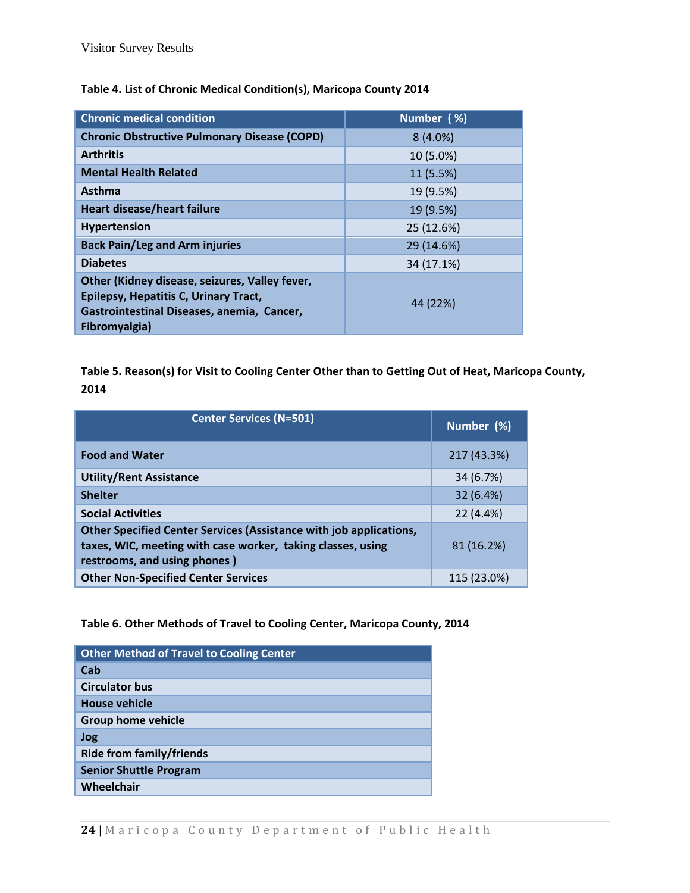| <b>Chronic medical condition</b>                                                                                                                       | Number (%) |
|--------------------------------------------------------------------------------------------------------------------------------------------------------|------------|
| <b>Chronic Obstructive Pulmonary Disease (COPD)</b>                                                                                                    | $8(4.0\%)$ |
| <b>Arthritis</b>                                                                                                                                       | 10 (5.0%)  |
| <b>Mental Health Related</b>                                                                                                                           | 11 (5.5%)  |
| <b>Asthma</b>                                                                                                                                          | 19 (9.5%)  |
| <b>Heart disease/heart failure</b>                                                                                                                     | 19 (9.5%)  |
| Hypertension                                                                                                                                           | 25 (12.6%) |
| <b>Back Pain/Leg and Arm injuries</b>                                                                                                                  | 29 (14.6%) |
| <b>Diabetes</b>                                                                                                                                        | 34 (17.1%) |
| Other (Kidney disease, seizures, Valley fever,<br>Epilepsy, Hepatitis C, Urinary Tract,<br>Gastrointestinal Diseases, anemia, Cancer,<br>Fibromyalgia) | 44 (22%)   |

#### **Table 4. List of Chronic Medical Condition(s), Maricopa County 2014**

<span id="page-23-0"></span>**Table 5. Reason(s) for Visit to Cooling Center Other than to Getting Out of Heat, Maricopa County, 2014**

| <b>Center Services (N=501)</b>                                                                                                                                    | Number (%)  |
|-------------------------------------------------------------------------------------------------------------------------------------------------------------------|-------------|
| <b>Food and Water</b>                                                                                                                                             | 217 (43.3%) |
| <b>Utility/Rent Assistance</b>                                                                                                                                    | 34 (6.7%)   |
| <b>Shelter</b>                                                                                                                                                    | 32 (6.4%)   |
| <b>Social Activities</b>                                                                                                                                          | 22 (4.4%)   |
| Other Specified Center Services (Assistance with job applications,<br>taxes, WIC, meeting with case worker, taking classes, using<br>restrooms, and using phones) | 81 (16.2%)  |
| <b>Other Non-Specified Center Services</b>                                                                                                                        | 115 (23.0%) |

#### <span id="page-23-1"></span>**Table 6. Other Methods of Travel to Cooling Center, Maricopa County, 2014**

| <b>Other Method of Travel to Cooling Center</b> |
|-------------------------------------------------|
| Cab                                             |
| <b>Circulator bus</b>                           |
| House vehicle                                   |
| <b>Group home vehicle</b>                       |
| <b>Jog</b>                                      |
| <b>Ride from family/friends</b>                 |
| <b>Senior Shuttle Program</b>                   |
| Wheelchair                                      |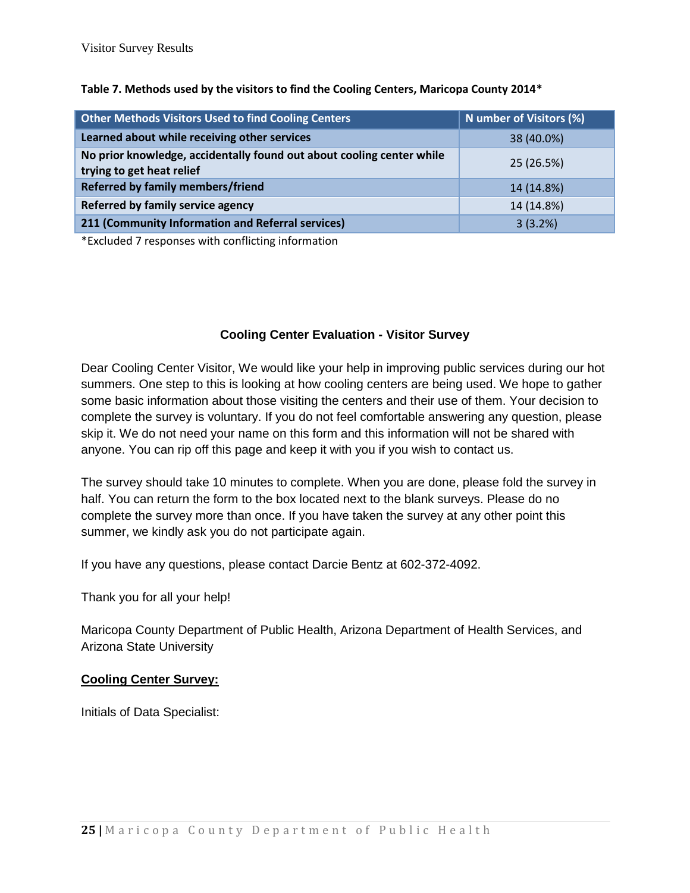| <b>Other Methods Visitors Used to find Cooling Centers</b>                                         | N umber of Visitors (%) |
|----------------------------------------------------------------------------------------------------|-------------------------|
| Learned about while receiving other services                                                       | 38 (40.0%)              |
| No prior knowledge, accidentally found out about cooling center while<br>trying to get heat relief | 25 (26.5%)              |
| Referred by family members/friend                                                                  | 14 (14.8%)              |
| Referred by family service agency                                                                  | 14 (14.8%)              |
| 211 (Community Information and Referral services)                                                  | 3(3.2%)                 |

#### **Table 7. Methods used by the visitors to find the Cooling Centers, Maricopa County 2014\***

\*Excluded 7 responses with conflicting information

#### **Cooling Center Evaluation - Visitor Survey**

Dear Cooling Center Visitor, We would like your help in improving public services during our hot summers. One step to this is looking at how cooling centers are being used. We hope to gather some basic information about those visiting the centers and their use of them. Your decision to complete the survey is voluntary. If you do not feel comfortable answering any question, please skip it. We do not need your name on this form and this information will not be shared with anyone. You can rip off this page and keep it with you if you wish to contact us.

The survey should take 10 minutes to complete. When you are done, please fold the survey in half. You can return the form to the box located next to the blank surveys. Please do no complete the survey more than once. If you have taken the survey at any other point this summer, we kindly ask you do not participate again.

If you have any questions, please contact Darcie Bentz at 602-372-4092.

Thank you for all your help!

Maricopa County Department of Public Health, Arizona Department of Health Services, and Arizona State University

#### **Cooling Center Survey:**

Initials of Data Specialist: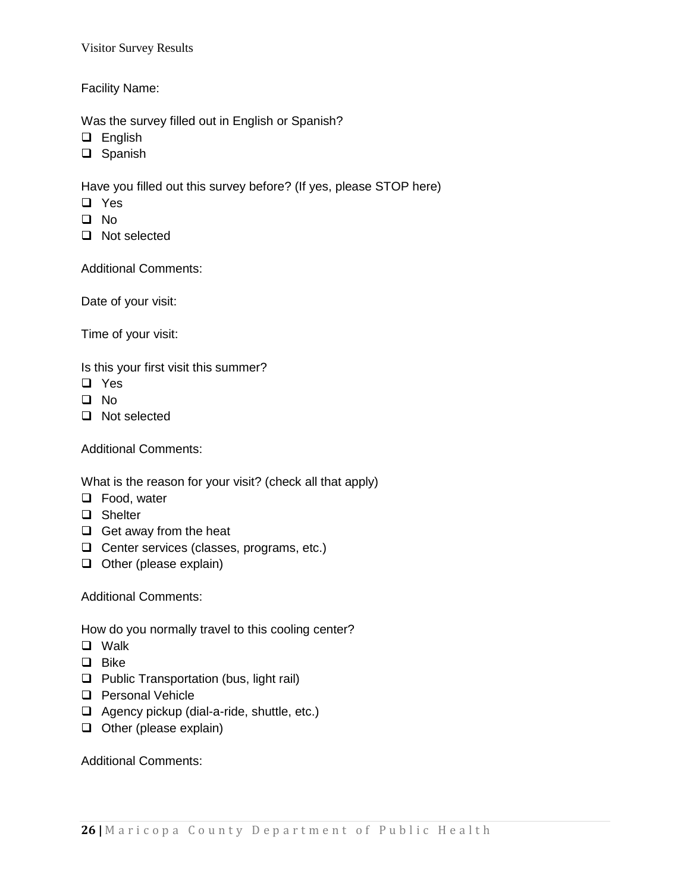Visitor Survey Results

Facility Name:

Was the survey filled out in English or Spanish?

- **Q** English
- □ Spanish

Have you filled out this survey before? (If yes, please STOP here)

- □ Yes
- $\Box$  No
- □ Not selected

Additional Comments:

Date of your visit:

Time of your visit:

Is this your first visit this summer?

- **Q** Yes
- $\Box$  No
- □ Not selected

Additional Comments:

What is the reason for your visit? (check all that apply)

- □ Food, water
- □ Shelter
- $\Box$  Get away from the heat
- $\Box$  Center services (classes, programs, etc.)
- $\Box$  Other (please explain)

Additional Comments:

How do you normally travel to this cooling center?

- **Q** Walk
- $\Box$  Bike
- $\Box$  Public Transportation (bus, light rail)
- **Q** Personal Vehicle
- $\Box$  Agency pickup (dial-a-ride, shuttle, etc.)
- $\Box$  Other (please explain)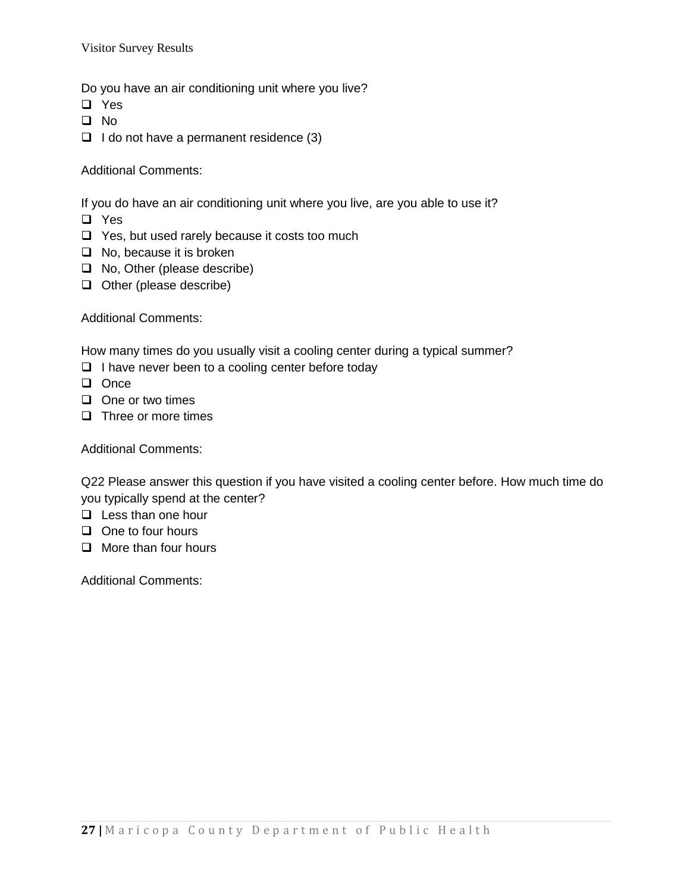Visitor Survey Results

Do you have an air conditioning unit where you live?

- **Q** Yes
- $\Box$  No
- $\Box$  I do not have a permanent residence (3)

Additional Comments:

If you do have an air conditioning unit where you live, are you able to use it?

- **Q** Yes
- $\Box$  Yes, but used rarely because it costs too much
- $\Box$  No, because it is broken
- □ No, Other (please describe)
- $\Box$  Other (please describe)

Additional Comments:

How many times do you usually visit a cooling center during a typical summer?

- $\Box$  I have never been to a cooling center before today
- **Q** Once
- $\Box$  One or two times
- $\Box$  Three or more times

Additional Comments:

Q22 Please answer this question if you have visited a cooling center before. How much time do you typically spend at the center?

- $\Box$  Less than one hour
- $\Box$  One to four hours
- $\Box$  More than four hours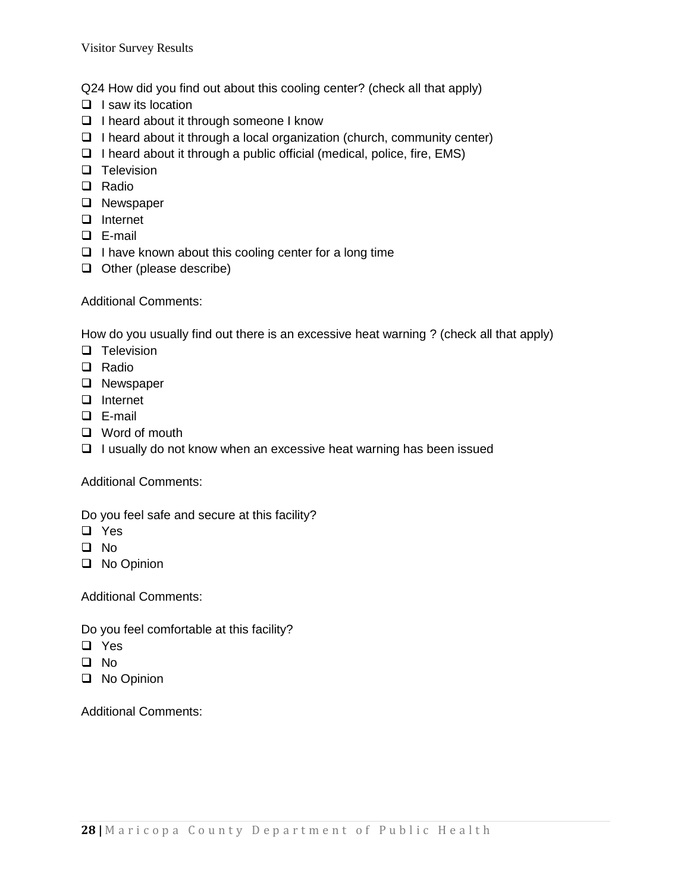Q24 How did you find out about this cooling center? (check all that apply)

- $\Box$  I saw its location
- □ I heard about it through someone I know
- $\Box$  I heard about it through a local organization (church, community center)
- $\Box$  I heard about it through a public official (medical, police, fire, EMS)
- $\Box$  Television
- □ Radio
- **Q** Newspaper
- Internet
- E-mail
- $\Box$  I have known about this cooling center for a long time
- $\Box$  Other (please describe)

Additional Comments:

How do you usually find out there is an excessive heat warning ? (check all that apply)

- **Q** Television
- □ Radio
- **Q** Newspaper
- □ Internet
- E-mail
- □ Word of mouth
- $\Box$  I usually do not know when an excessive heat warning has been issued

Additional Comments:

Do you feel safe and secure at this facility?

- □ Yes
- $\Box$  No
- □ No Opinion

Additional Comments:

Do you feel comfortable at this facility?

- **Q** Yes
- No
- **No Opinion**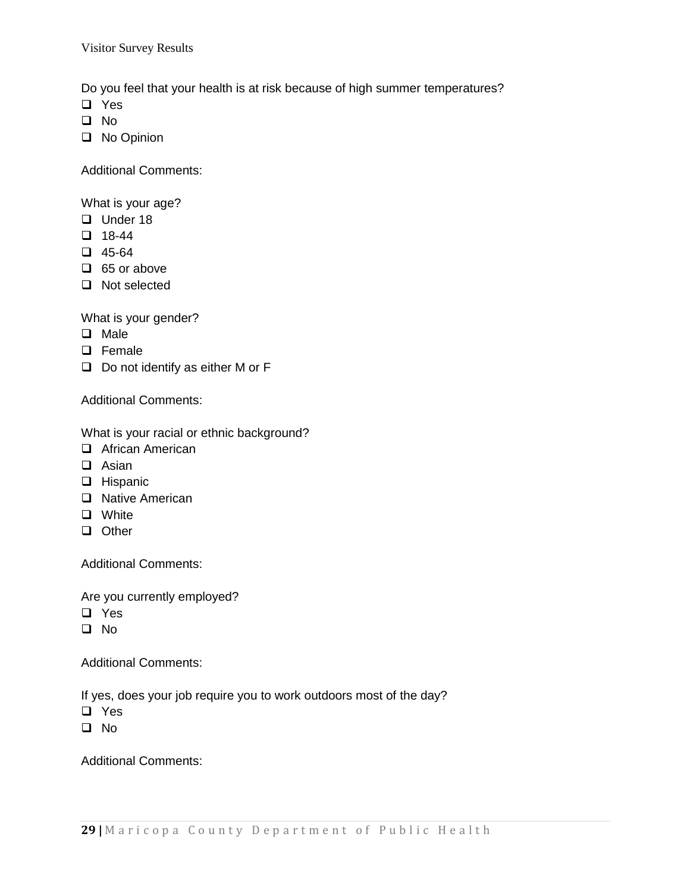Visitor Survey Results

Do you feel that your health is at risk because of high summer temperatures?

- **Q** Yes
- $\Box$  No
- □ No Opinion

Additional Comments:

What is your age?

- $\Box$  Under 18
- $\Box$  18-44
- $\Box$  45-64
- $\Box$  65 or above
- □ Not selected

What is your gender?

- **Q** Male
- **Q** Female
- $\Box$  Do not identify as either M or F

Additional Comments:

What is your racial or ethnic background?

- □ African American
- **Q** Asian
- **Q** Hispanic
- □ Native American
- **Q** White
- **Q** Other

Additional Comments:

Are you currently employed?

- □ Yes
- No

Additional Comments:

If yes, does your job require you to work outdoors most of the day?

- □ Yes
- $\Box$  No